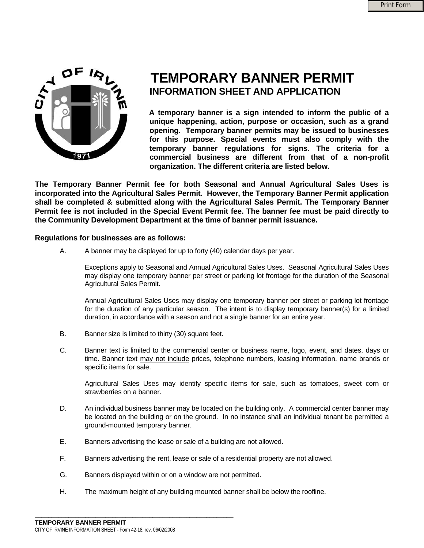

# **TEMPORARY BANNER PERMIT INFORMATION SHEET AND APPLICATION**

 **A temporary banner is a sign intended to inform the public of a unique happening, action, purpose or occasion, such as a grand opening. Temporary banner permits may be issued to businesses for this purpose. Special events must also comply with the temporary banner regulations for signs. The criteria for a commercial business are different from that of a non-profit organization. The different criteria are listed below.** 

**The Temporary Banner Permit fee for both Seasonal and Annual Agricultural Sales Uses is incorporated into the Agricultural Sales Permit. However, the Temporary Banner Permit application shall be completed & submitted along with the Agricultural Sales Permit. The Temporary Banner Permit fee is not included in the Special Event Permit fee. The banner fee must be paid directly to the Community Development Department at the time of banner permit issuance.** 

#### **Regulations for businesses are as follows:**

A. A banner may be displayed for up to forty (40) calendar days per year.

Exceptions apply to Seasonal and Annual Agricultural Sales Uses. Seasonal Agricultural Sales Uses may display one temporary banner per street or parking lot frontage for the duration of the Seasonal Agricultural Sales Permit.

Annual Agricultural Sales Uses may display one temporary banner per street or parking lot frontage for the duration of any particular season. The intent is to display temporary banner(s) for a limited duration, in accordance with a season and not a single banner for an entire year.

- B. Banner size is limited to thirty (30) square feet.
- C. Banner text is limited to the commercial center or business name, logo, event, and dates, days or time. Banner text may not include prices, telephone numbers, leasing information, name brands or specific items for sale.

Agricultural Sales Uses may identify specific items for sale, such as tomatoes, sweet corn or strawberries on a banner.

- D. An individual business banner may be located on the building only. A commercial center banner may be located on the building or on the ground. In no instance shall an individual tenant be permitted a ground-mounted temporary banner.
- E. Banners advertising the lease or sale of a building are not allowed.
- F. Banners advertising the rent, lease or sale of a residential property are not allowed.
- G. Banners displayed within or on a window are not permitted.
- H. The maximum height of any building mounted banner shall be below the roofline.

**\_\_\_\_\_\_\_\_\_\_\_\_\_\_\_\_\_\_\_\_\_\_\_\_\_\_\_\_\_\_\_\_\_\_\_\_\_\_\_\_\_\_\_\_\_\_\_\_\_\_\_\_\_\_\_\_\_\_\_**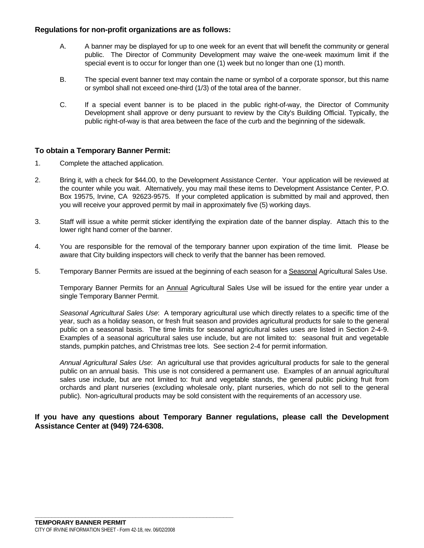### **Regulations for non-profit organizations are as follows:**

- A. A banner may be displayed for up to one week for an event that will benefit the community or general public. The Director of Community Development may waive the one-week maximum limit if the special event is to occur for longer than one (1) week but no longer than one (1) month.
- B. The special event banner text may contain the name or symbol of a corporate sponsor, but this name or symbol shall not exceed one-third (1/3) of the total area of the banner.
- C. If a special event banner is to be placed in the public right-of-way, the Director of Community Development shall approve or deny pursuant to review by the City's Building Official. Typically, the public right-of-way is that area between the face of the curb and the beginning of the sidewalk.

## **To obtain a Temporary Banner Permit:**

- 1. Complete the attached application.
- 2. Bring it, with a check for \$44.00, to the Development Assistance Center. Your application will be reviewed at the counter while you wait. Alternatively, you may mail these items to Development Assistance Center, P.O. Box 19575, Irvine, CA 92623-9575. If your completed application is submitted by mail and approved, then you will receive your approved permit by mail in approximately five (5) working days.
- 3. Staff will issue a white permit sticker identifying the expiration date of the banner display. Attach this to the lower right hand corner of the banner.
- 4. You are responsible for the removal of the temporary banner upon expiration of the time limit. Please be aware that City building inspectors will check to verify that the banner has been removed.
- 5. Temporary Banner Permits are issued at the beginning of each season for a Seasonal Agricultural Sales Use.

Temporary Banner Permits for an Annual Agricultural Sales Use will be issued for the entire year under a single Temporary Banner Permit.

*Seasonal Agricultural Sales Use*: A temporary agricultural use which directly relates to a specific time of the year, such as a holiday season, or fresh fruit season and provides agricultural products for sale to the general public on a seasonal basis. The time limits for seasonal agricultural sales uses are listed in Section 2-4-9. Examples of a seasonal agricultural sales use include, but are not limited to: seasonal fruit and vegetable stands, pumpkin patches, and Christmas tree lots. See section 2-4 for permit information.

*Annual Agricultural Sales Use*: An agricultural use that provides agricultural products for sale to the general public on an annual basis. This use is not considered a permanent use. Examples of an annual agricultural sales use include, but are not limited to: fruit and vegetable stands, the general public picking fruit from orchards and plant nurseries (excluding wholesale only, plant nurseries, which do not sell to the general public). Non-agricultural products may be sold consistent with the requirements of an accessory use.

### **If you have any questions about Temporary Banner regulations, please call the Development Assistance Center at (949) 724-6308.**

**\_\_\_\_\_\_\_\_\_\_\_\_\_\_\_\_\_\_\_\_\_\_\_\_\_\_\_\_\_\_\_\_\_\_\_\_\_\_\_\_\_\_\_\_\_\_\_\_\_\_\_\_\_\_\_\_\_\_\_**